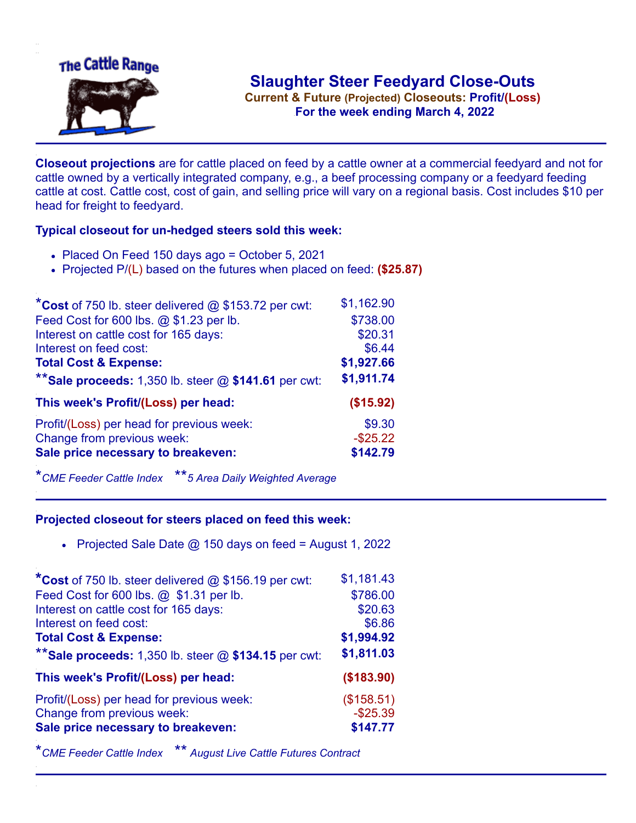

**Current & Future (Projected) Closeouts: Profit/(Loss)** .**For the week ending March 4, 2022**

**Closeout projections** are for cattle placed on feed by a cattle owner at a commercial feedyard and not for cattle owned by a vertically integrated company, e.g., a beef processing company or a feedyard feeding cattle at cost. Cattle cost, cost of gain, and selling price will vary on a regional basis. Cost includes \$10 per head for freight to feedyard.

## **Typical closeout for un-hedged steers sold this week:**

- Placed On Feed 150 days ago = October 5, 2021
- Projected P/(L) based on the futures when placed on feed: **(\$25.87)**

| *Cost of 750 lb. steer delivered @ \$153.72 per cwt:      | \$1,162.90  |
|-----------------------------------------------------------|-------------|
| Feed Cost for 600 lbs. @ \$1.23 per lb.                   | \$738.00    |
| Interest on cattle cost for 165 days:                     | \$20.31     |
| Interest on feed cost:                                    | \$6.44      |
| <b>Total Cost &amp; Expense:</b>                          | \$1,927.66  |
| ** Sale proceeds: $1,350$ lb. steer $@$ \$141.61 per cwt: | \$1,911.74  |
| This week's Profit/(Loss) per head:                       | (\$15.92)   |
| Profit/(Loss) per head for previous week:                 | \$9.30      |
| Change from previous week:                                | $-$ \$25.22 |
| Sale price necessary to breakeven:                        | \$142.79    |

\**CME Feeder Cattle Index* \*\**5 Area Daily Weighted Average*

## **Projected closeout for steers placed on feed this week:**

Projected Sale Date  $@$  150 days on feed = August 1, 2022

| *Cost of 750 lb. steer delivered $@$ \$156.19 per cwt:  | \$1,181.43 |
|---------------------------------------------------------|------------|
| Feed Cost for 600 lbs. @ \$1.31 per lb.                 | \$786.00   |
| Interest on cattle cost for 165 days:                   | \$20.63    |
| Interest on feed cost:                                  | \$6.86     |
| <b>Total Cost &amp; Expense:</b>                        | \$1,994.92 |
| ** Sale proceeds: 1,350 lb. steer $@$ \$134.15 per cwt: | \$1,811.03 |
| This week's Profit/(Loss) per head:                     | (\$183.90) |
| Profit/(Loss) per head for previous week:               | (\$158.51) |
| Change from previous week:                              | $-$25.39$  |
| Sale price necessary to breakeven:                      | \$147.77   |
|                                                         |            |

\**CME Feeder Cattle Index* \*\* *August Live Cattle Futures Contract*